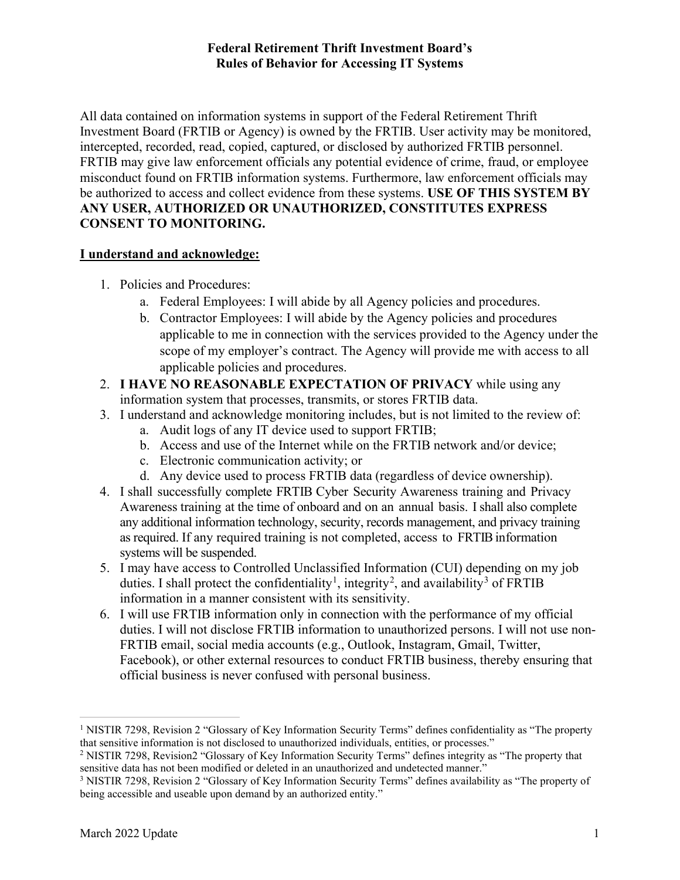All data contained on information systems in support of the Federal Retirement Thrift Investment Board (FRTIB or Agency) is owned by the FRTIB. User activity may be monitored, intercepted, recorded, read, copied, captured, or disclosed by authorized FRTIB personnel. FRTIB may give law enforcement officials any potential evidence of crime, fraud, or employee misconduct found on FRTIB information systems. Furthermore, law enforcement officials may be authorized to access and collect evidence from these systems. **USE OF THIS SYSTEM BY ANY USER, AUTHORIZED OR UNAUTHORIZED, CONSTITUTES EXPRESS CONSENT TO MONITORING.**

# **I understand and acknowledge:**

- 1. Policies and Procedures:
	- a. Federal Employees: I will abide by all Agency policies and procedures.
	- b. Contractor Employees: I will abide by the Agency policies and procedures applicable to me in connection with the services provided to the Agency under the scope of my employer's contract. The Agency will provide me with access to all applicable policies and procedures.
- 2. **I HAVE NO REASONABLE EXPECTATION OF PRIVACY** while using any information system that processes, transmits, or stores FRTIB data.
- 3. I understand and acknowledge monitoring includes, but is not limited to the review of:
	- a. Audit logs of any IT device used to support FRTIB;
	- b. Access and use of the Internet while on the FRTIB network and/or device;
	- c. Electronic communication activity; or
	- d. Any device used to process FRTIB data (regardless of device ownership).
- 4. I shall successfully complete FRTIB Cyber Security Awareness training and Privacy Awareness training at the time of onboard and on an annual basis. I shall also complete any additional information technology, security, records management, and privacy training as required. If any required training is not completed, access to FRTIB information systems will be suspended.
- 5. I may have access to Controlled Unclassified Information (CUI) depending on my job duties. I shall protect the confidentiality<sup>[1](#page-0-0)</sup>, integrity<sup>[2](#page-0-1)</sup>, and availability<sup>[3](#page-0-2)</sup> of FRTIB information in a manner consistent with its sensitivity.
- 6. I will use FRTIB information only in connection with the performance of my official duties. I will not disclose FRTIB information to unauthorized persons. I will not use non-FRTIB email, social media accounts (e.g., Outlook, Instagram, Gmail, Twitter, Facebook), or other external resources to conduct FRTIB business, thereby ensuring that official business is never confused with personal business.

<span id="page-0-0"></span><sup>&</sup>lt;sup>1</sup> NISTIR 7298, Revision 2 "Glossary of Key Information Security Terms" defines confidentiality as "The property that sensitive information is not disclosed to unauthorized individuals, entities, or processes."

<span id="page-0-1"></span><sup>2</sup> NISTIR 7298, Revision2 "Glossary of Key Information Security Terms" defines integrity as "The property that sensitive data has not been modified or deleted in an unauthorized and undetected manner."

<span id="page-0-2"></span><sup>3</sup> NISTIR 7298, Revision 2 "Glossary of Key Information Security Terms" defines availability as "The property of being accessible and useable upon demand by an authorized entity."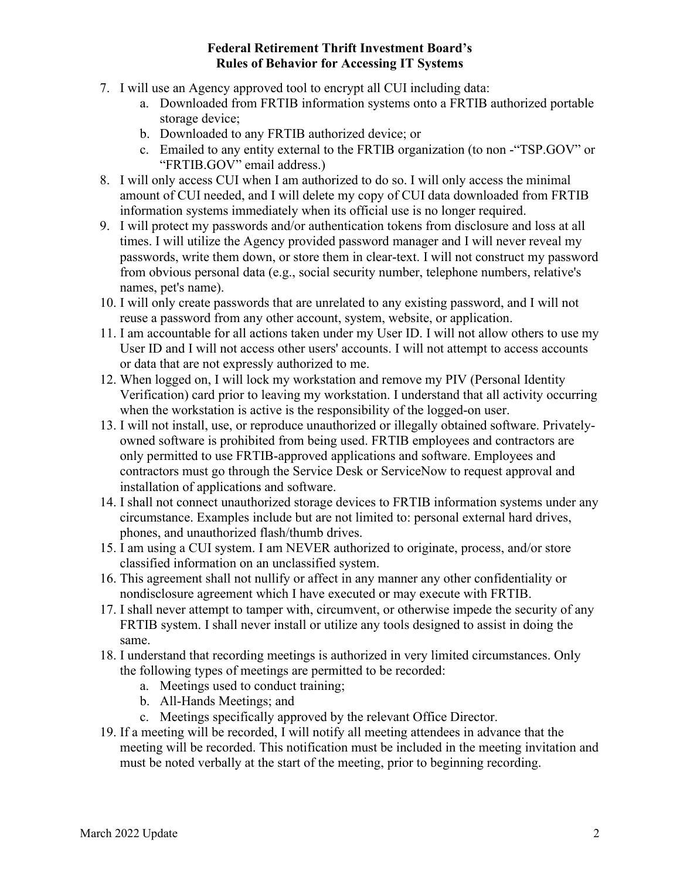- 7. I will use an Agency approved tool to encrypt all CUI including data:
	- a. Downloaded from FRTIB information systems onto a FRTIB authorized portable storage device;
	- b. Downloaded to any FRTIB authorized device; or
	- c. Emailed to any entity external to the FRTIB organization (to non -"TSP.GOV" or "FRTIB.GOV" email address.)
- 8. I will only access CUI when I am authorized to do so. I will only access the minimal amount of CUI needed, and I will delete my copy of CUI data downloaded from FRTIB information systems immediately when its official use is no longer required.
- 9. I will protect my passwords and/or authentication tokens from disclosure and loss at all times. I will utilize the Agency provided password manager and I will never reveal my passwords, write them down, or store them in clear-text. I will not construct my password from obvious personal data (e.g., social security number, telephone numbers, relative's names, pet's name).
- 10. I will only create passwords that are unrelated to any existing password, and I will not reuse a password from any other account, system, website, or application.
- 11. I am accountable for all actions taken under my User ID. I will not allow others to use my User ID and I will not access other users' accounts. I will not attempt to access accounts or data that are not expressly authorized to me.
- 12. When logged on, I will lock my workstation and remove my PIV (Personal Identity Verification) card prior to leaving my workstation. I understand that all activity occurring when the workstation is active is the responsibility of the logged-on user.
- 13. I will not install, use, or reproduce unauthorized or illegally obtained software. Privatelyowned software is prohibited from being used. FRTIB employees and contractors are only permitted to use FRTIB-approved applications and software. Employees and contractors must go through the Service Desk or ServiceNow to request approval and installation of applications and software.
- 14. I shall not connect unauthorized storage devices to FRTIB information systems under any circumstance. Examples include but are not limited to: personal external hard drives, phones, and unauthorized flash/thumb drives.
- 15. I am using a CUI system. I am NEVER authorized to originate, process, and/or store classified information on an unclassified system.
- 16. This agreement shall not nullify or affect in any manner any other confidentiality or nondisclosure agreement which I have executed or may execute with FRTIB.
- 17. I shall never attempt to tamper with, circumvent, or otherwise impede the security of any FRTIB system. I shall never install or utilize any tools designed to assist in doing the same.
- 18. I understand that recording meetings is authorized in very limited circumstances. Only the following types of meetings are permitted to be recorded:
	- a. Meetings used to conduct training;
	- b. All-Hands Meetings; and
	- c. Meetings specifically approved by the relevant Office Director.
- 19. If a meeting will be recorded, I will notify all meeting attendees in advance that the meeting will be recorded. This notification must be included in the meeting invitation and must be noted verbally at the start of the meeting, prior to beginning recording.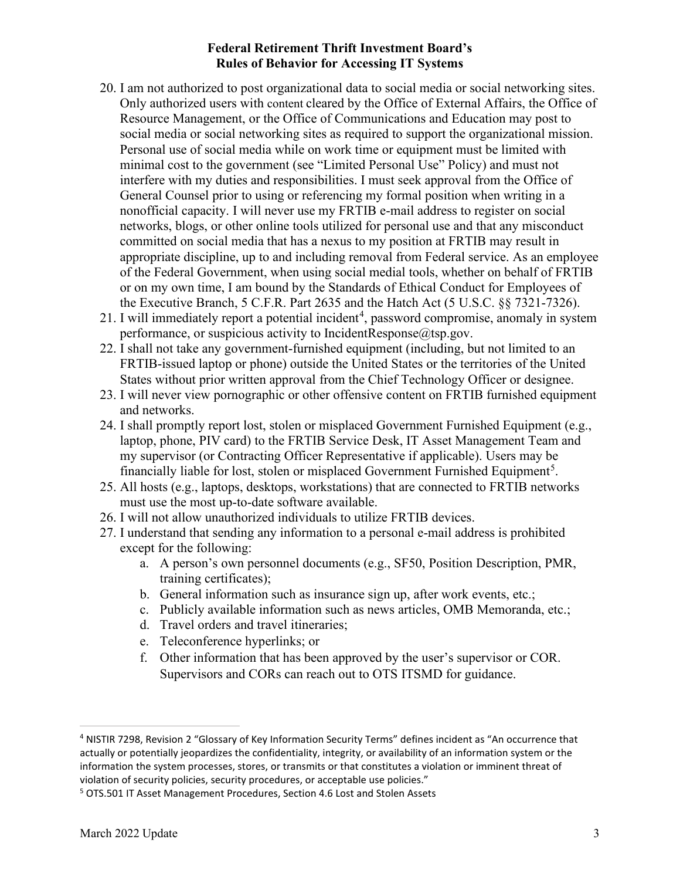- 20. I am not authorized to post organizational data to social media or social networking sites. Only authorized users with content cleared by the Office of External Affairs, the Office of Resource Management, or the Office of Communications and Education may post to social media or social networking sites as required to support the organizational mission. Personal use of social media while on work time or equipment must be limited with minimal cost to the government (see "Limited Personal Use" Policy) and must not interfere with my duties and responsibilities. I must seek approval from the Office of General Counsel prior to using or referencing my formal position when writing in a nonofficial capacity. I will never use my FRTIB e-mail address to register on social networks, blogs, or other online tools utilized for personal use and that any misconduct committed on social media that has a nexus to my position at FRTIB may result in appropriate discipline, up to and including removal from Federal service. As an employee of the Federal Government, when using social medial tools, whether on behalf of FRTIB or on my own time, I am bound by the Standards of Ethical Conduct for Employees of the Executive Branch, 5 C.F.R. Part 2635 and the Hatch Act (5 U.S.C. §§ 7321-7326).
- 21. I will immediately report a potential incident<sup>[4](#page-2-0)</sup>, password compromise, anomaly in system performance, or suspicious activity to IncidentResponse@tsp.gov.
- 22. I shall not take any government-furnished equipment (including, but not limited to an FRTIB-issued laptop or phone) outside the United States or the territories of the United States without prior written approval from the Chief Technology Officer or designee.
- 23. I will never view pornographic or other offensive content on FRTIB furnished equipment and networks.
- 24. I shall promptly report lost, stolen or misplaced Government Furnished Equipment (e.g., laptop, phone, PIV card) to the FRTIB Service Desk, IT Asset Management Team and my supervisor (or Contracting Officer Representative if applicable). Users may be financially liable for lost, stolen or misplaced Government Furnished Equipment<sup>[5](#page-2-1)</sup>.
- 25. All hosts (e.g., laptops, desktops, workstations) that are connected to FRTIB networks must use the most up-to-date software available.
- 26. I will not allow unauthorized individuals to utilize FRTIB devices.
- 27. I understand that sending any information to a personal e-mail address is prohibited except for the following:
	- a. A person's own personnel documents (e.g., SF50, Position Description, PMR, training certificates);
	- b. General information such as insurance sign up, after work events, etc.;
	- c. Publicly available information such as news articles, OMB Memoranda, etc.;
	- d. Travel orders and travel itineraries;
	- e. Teleconference hyperlinks; or
	- f. Other information that has been approved by the user's supervisor or COR. Supervisors and CORs can reach out to OTS ITSMD for guidance.

<span id="page-2-0"></span><sup>4</sup> NISTIR 7298, Revision 2 "Glossary of Key Information Security Terms" defines incident as "An occurrence that actually or potentially jeopardizes the confidentiality, integrity, or availability of an information system or the information the system processes, stores, or transmits or that constitutes a violation or imminent threat of violation of security policies, security procedures, or acceptable use policies."

<span id="page-2-1"></span><sup>5</sup> OTS.501 IT Asset Management Procedures, Section 4.6 Lost and Stolen Assets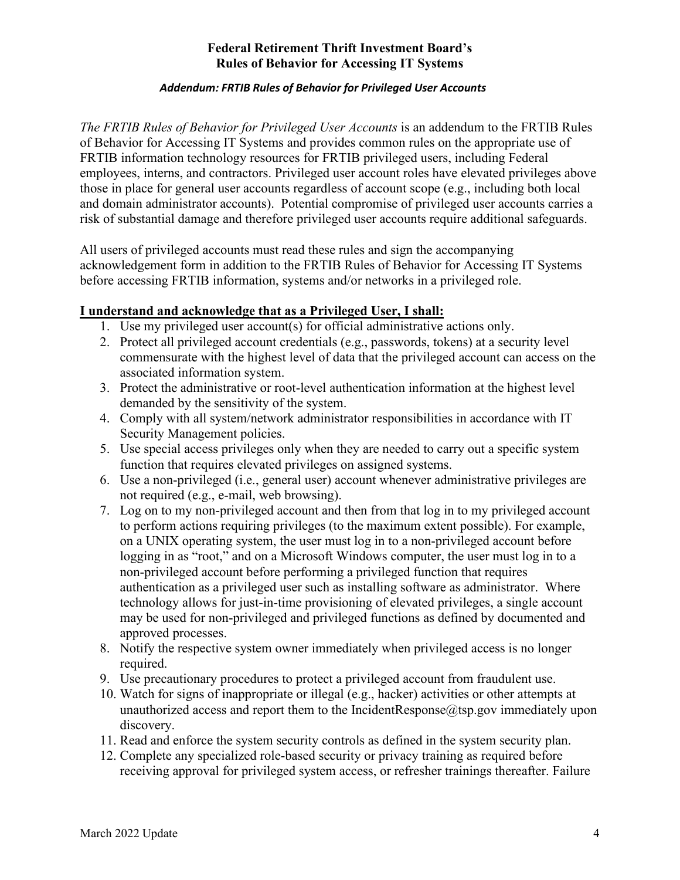#### *Addendum: FRTIB Rules of Behavior for Privileged User Accounts*

*The FRTIB Rules of Behavior for Privileged User Accounts* is an addendum to the FRTIB Rules of Behavior for Accessing IT Systems and provides common rules on the appropriate use of FRTIB information technology resources for FRTIB privileged users, including Federal employees, interns, and contractors. Privileged user account roles have elevated privileges above those in place for general user accounts regardless of account scope (e.g., including both local and domain administrator accounts). Potential compromise of privileged user accounts carries a risk of substantial damage and therefore privileged user accounts require additional safeguards.

All users of privileged accounts must read these rules and sign the accompanying acknowledgement form in addition to the FRTIB Rules of Behavior for Accessing IT Systems before accessing FRTIB information, systems and/or networks in a privileged role.

#### **I understand and acknowledge that as a Privileged User, I shall:**

- 1. Use my privileged user account(s) for official administrative actions only.
- 2. Protect all privileged account credentials (e.g., passwords, tokens) at a security level commensurate with the highest level of data that the privileged account can access on the associated information system.
- 3. Protect the administrative or root-level authentication information at the highest level demanded by the sensitivity of the system.
- 4. Comply with all system/network administrator responsibilities in accordance with IT Security Management policies.
- 5. Use special access privileges only when they are needed to carry out a specific system function that requires elevated privileges on assigned systems.
- 6. Use a non-privileged (i.e., general user) account whenever administrative privileges are not required (e.g., e-mail, web browsing).
- 7. Log on to my non-privileged account and then from that log in to my privileged account to perform actions requiring privileges (to the maximum extent possible). For example, on a UNIX operating system, the user must log in to a non-privileged account before logging in as "root," and on a Microsoft Windows computer, the user must log in to a non-privileged account before performing a privileged function that requires authentication as a privileged user such as installing software as administrator. Where technology allows for just-in-time provisioning of elevated privileges, a single account may be used for non-privileged and privileged functions as defined by documented and approved processes.
- 8. Notify the respective system owner immediately when privileged access is no longer required.
- 9. Use precautionary procedures to protect a privileged account from fraudulent use.
- 10. Watch for signs of inappropriate or illegal (e.g., hacker) activities or other attempts at unauthorized access and report them to the IncidentResponse $@$ tsp.gov immediately upon discovery.
- 11. Read and enforce the system security controls as defined in the system security plan.
- 12. Complete any specialized role-based security or privacy training as required before receiving approval for privileged system access, or refresher trainings thereafter. Failure